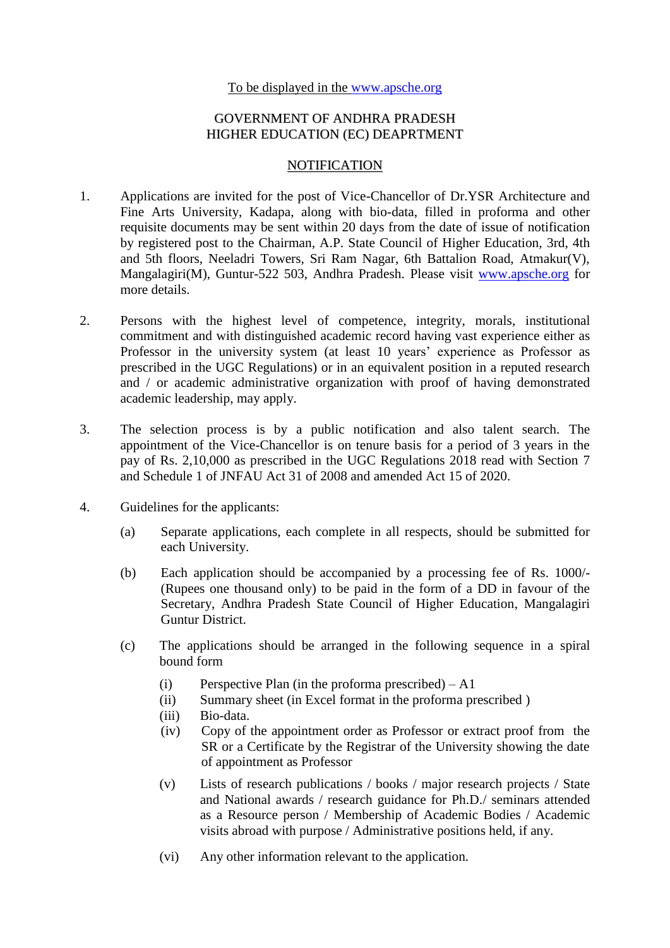## To be displayed in the [www.apsche.org](http://www.apsche.org/)

## GOVERNMENT OF ANDHRA PRADESH HIGHER EDUCATION (EC) DEAPRTMENT

## **NOTIFICATION**

- 1. Applications are invited for the post of Vice-Chancellor of Dr.YSR Architecture and Fine Arts University, Kadapa, along with bio-data, filled in proforma and other requisite documents may be sent within 20 days from the date of issue of notification by registered post to the Chairman, A.P. State Council of Higher Education, 3rd, 4th and 5th floors, Neeladri Towers, Sri Ram Nagar, 6th Battalion Road, Atmakur(V), Mangalagiri(M), Guntur-522 503, Andhra Pradesh. Please visit [www.apsche.org](http://www.apsche.org/) for more details.
- 2. Persons with the highest level of competence, integrity, morals, institutional commitment and with distinguished academic record having vast experience either as Professor in the university system (at least 10 years' experience as Professor as prescribed in the UGC Regulations) or in an equivalent position in a reputed research and / or academic administrative organization with proof of having demonstrated academic leadership, may apply.
- 3. The selection process is by a public notification and also talent search. The appointment of the Vice-Chancellor is on tenure basis for a period of 3 years in the pay of Rs. 2,10,000 as prescribed in the UGC Regulations 2018 read with Section 7 and Schedule 1 of JNFAU Act 31 of 2008 and amended Act 15 of 2020.
- 4. Guidelines for the applicants:
	- (a) Separate applications, each complete in all respects, should be submitted for each University.
	- (b) Each application should be accompanied by a processing fee of Rs. 1000/- (Rupees one thousand only) to be paid in the form of a DD in favour of the Secretary, Andhra Pradesh State Council of Higher Education, Mangalagiri Guntur District.
	- (c) The applications should be arranged in the following sequence in a spiral bound form
		- (i) Perspective Plan (in the proforma prescribed)  $A1$
		- (ii) Summary sheet (in Excel format in the proforma prescribed )
		- (iii) Bio-data.
		- (iv) Copy of the appointment order as Professor or extract proof from the SR or a Certificate by the Registrar of the University showing the date of appointment as Professor
		- (v) Lists of research publications / books / major research projects / State and National awards / research guidance for Ph.D./ seminars attended as a Resource person / Membership of Academic Bodies / Academic visits abroad with purpose / Administrative positions held, if any.
		- (vi) Any other information relevant to the application.